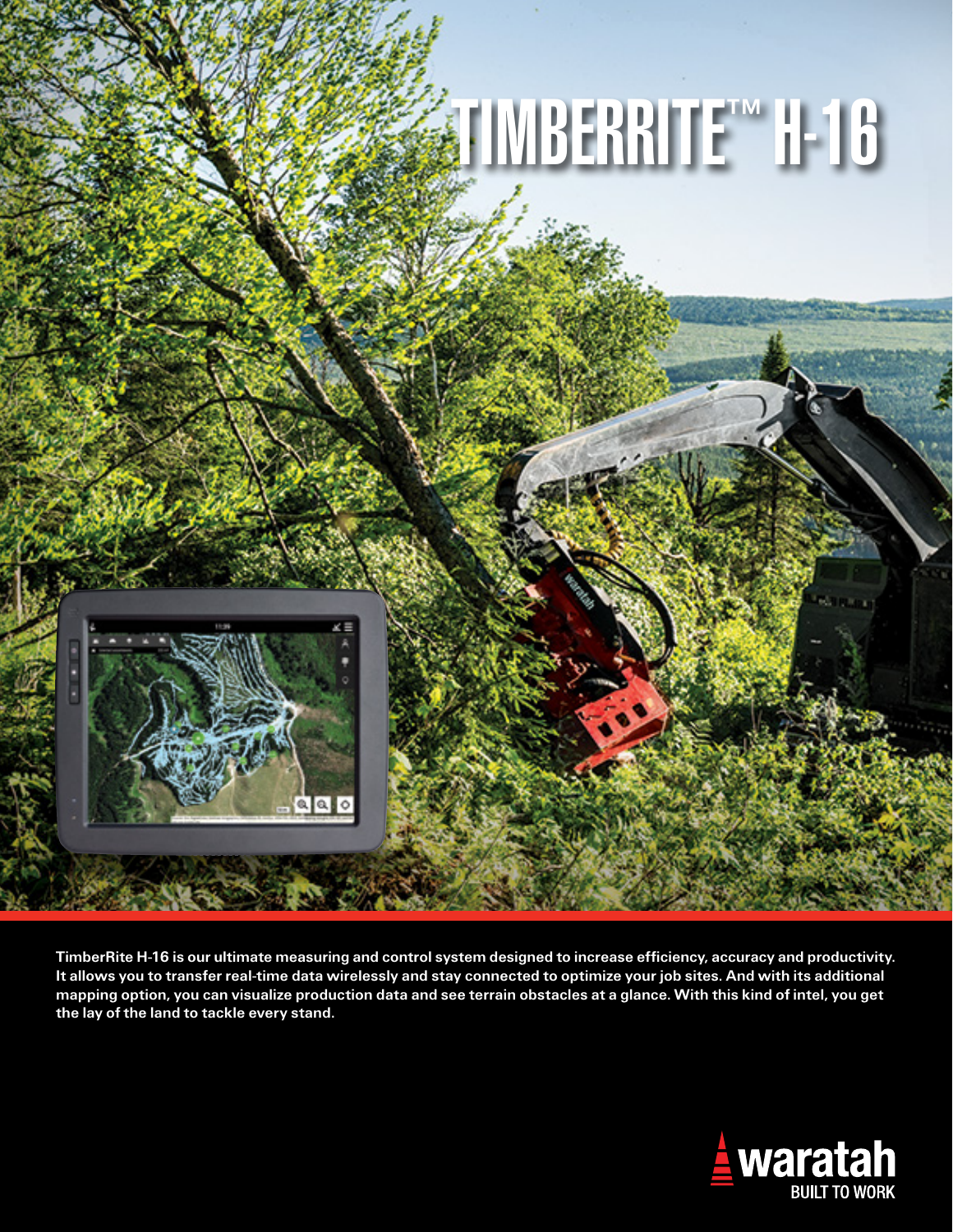

TimberRite H-16 is our ultimate measuring and control system designed to increase efficiency, accuracy and productivity. It allows you to transfer real-time data wirelessly and stay connected to optimize your job sites. And with its additional mapping option, you can visualize production data and see terrain obstacles at a glance. With this kind of intel, you get the lay of the land to tackle every stand.